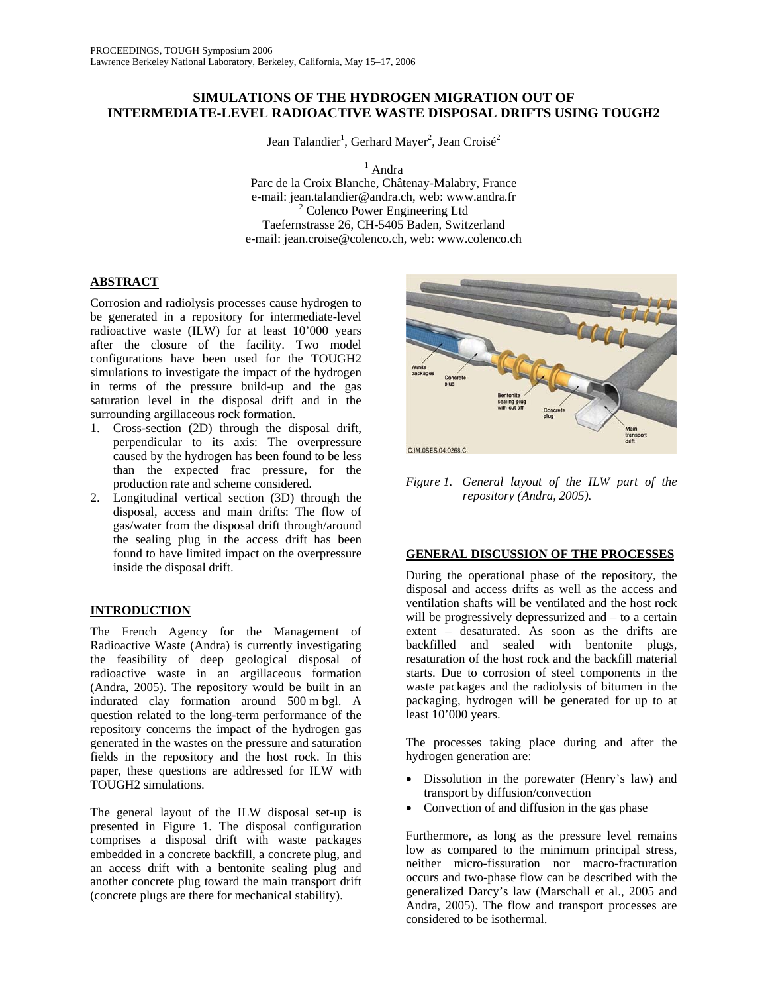# **SIMULATIONS OF THE HYDROGEN MIGRATION OUT OF INTERMEDIATE-LEVEL RADIOACTIVE WASTE DISPOSAL DRIFTS USING TOUGH2**

Jean Talandier<sup>1</sup>, Gerhard Mayer<sup>2</sup>, Jean Croisé<sup>2</sup>

<sup>1</sup> Andra

Parc de la Croix Blanche, Châtenay-Malabry, France e-mail: jean.talandier@andra.ch, web: www.andra.fr 2 <sup>2</sup> Colenco Power Engineering Ltd Taefernstrasse 26, CH-5405 Baden, Switzerland e-mail: jean.croise@colenco.ch, web: www.colenco.ch

## **ABSTRACT**

Corrosion and radiolysis processes cause hydrogen to be generated in a repository for intermediate-level radioactive waste (ILW) for at least 10'000 years after the closure of the facility. Two model configurations have been used for the TOUGH2 simulations to investigate the impact of the hydrogen in terms of the pressure build-up and the gas saturation level in the disposal drift and in the surrounding argillaceous rock formation.

- 1. Cross-section (2D) through the disposal drift, perpendicular to its axis: The overpressure caused by the hydrogen has been found to be less than the expected frac pressure, for the production rate and scheme considered.
- 2. Longitudinal vertical section (3D) through the disposal, access and main drifts: The flow of gas/water from the disposal drift through/around the sealing plug in the access drift has been found to have limited impact on the overpressure inside the disposal drift.

# **INTRODUCTION**

The French Agency for the Management of Radioactive Waste (Andra) is currently investigating the feasibility of deep geological disposal of radioactive waste in an argillaceous formation (Andra, 2005). The repository would be built in an indurated clay formation around 500 m bgl. A question related to the long-term performance of the repository concerns the impact of the hydrogen gas generated in the wastes on the pressure and saturation fields in the repository and the host rock. In this paper, these questions are addressed for ILW with TOUGH2 simulations.

The general layout of the ILW disposal set-up is presented in Figure 1. The disposal configuration comprises a disposal drift with waste packages embedded in a concrete backfill, a concrete plug, and an access drift with a bentonite sealing plug and another concrete plug toward the main transport drift (concrete plugs are there for mechanical stability).



*Figure 1. General layout of the ILW part of the repository (Andra, 2005).* 

## **GENERAL DISCUSSION OF THE PROCESSES**

During the operational phase of the repository, the disposal and access drifts as well as the access and ventilation shafts will be ventilated and the host rock will be progressively depressurized and – to a certain extent – desaturated. As soon as the drifts are backfilled and sealed with bentonite plugs, resaturation of the host rock and the backfill material starts. Due to corrosion of steel components in the waste packages and the radiolysis of bitumen in the packaging, hydrogen will be generated for up to at least 10'000 years.

The processes taking place during and after the hydrogen generation are:

- Dissolution in the porewater (Henry's law) and transport by diffusion/convection
- Convection of and diffusion in the gas phase

Furthermore, as long as the pressure level remains low as compared to the minimum principal stress, neither micro-fissuration nor macro-fracturation occurs and two-phase flow can be described with the generalized Darcy's law (Marschall et al., 2005 and Andra, 2005). The flow and transport processes are considered to be isothermal.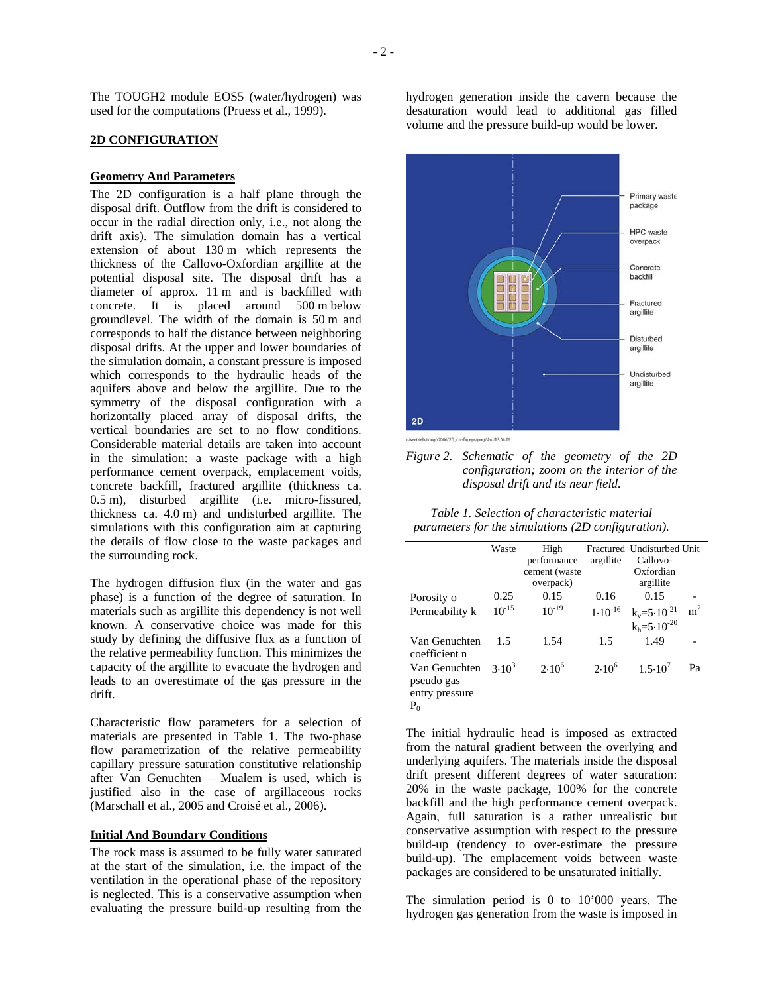The TOUGH2 module EOS5 (water/hydrogen) was used for the computations (Pruess et al., 1999).

### **2D CONFIGURATION**

### **Geometry And Parameters**

The 2D configuration is a half plane through the disposal drift. Outflow from the drift is considered to occur in the radial direction only, i.e., not along the drift axis). The simulation domain has a vertical extension of about 130 m which represents the thickness of the Callovo-Oxfordian argillite at the potential disposal site. The disposal drift has a diameter of approx. 11 m and is backfilled with concrete. It is placed around 500 m below groundlevel. The width of the domain is 50 m and corresponds to half the distance between neighboring disposal drifts. At the upper and lower boundaries of the simulation domain, a constant pressure is imposed which corresponds to the hydraulic heads of the aquifers above and below the argillite. Due to the symmetry of the disposal configuration with a horizontally placed array of disposal drifts, the vertical boundaries are set to no flow conditions. Considerable material details are taken into account in the simulation: a waste package with a high performance cement overpack, emplacement voids, concrete backfill, fractured argillite (thickness ca. 0.5 m), disturbed argillite (i.e. micro-fissured, thickness ca. 4.0 m) and undisturbed argillite. The simulations with this configuration aim at capturing the details of flow close to the waste packages and the surrounding rock.

The hydrogen diffusion flux (in the water and gas phase) is a function of the degree of saturation. In materials such as argillite this dependency is not well known. A conservative choice was made for this study by defining the diffusive flux as a function of the relative permeability function. This minimizes the capacity of the argillite to evacuate the hydrogen and leads to an overestimate of the gas pressure in the drift.

Characteristic flow parameters for a selection of materials are presented in Table 1. The two-phase flow parametrization of the relative permeability capillary pressure saturation constitutive relationship after Van Genuchten – Mualem is used, which is justified also in the case of argillaceous rocks (Marschall et al., 2005 and Croisé et al., 2006).

## **Initial And Boundary Conditions**

The rock mass is assumed to be fully water saturated at the start of the simulation, i.e. the impact of the ventilation in the operational phase of the repository is neglected. This is a conservative assumption when evaluating the pressure build-up resulting from the

hydrogen generation inside the cavern because the desaturation would lead to additional gas filled volume and the pressure build-up would be lower.



*Figure 2. Schematic of the geometry of the 2D configuration; zoom on the interior of the disposal drift and its near field.* 

*Table 1. Selection of characteristic material parameters for the simulations (2D configuration).* 

|                                                        | Waste      | High<br>performance<br>cement (waste<br>overpack) | argillite    | Fractured Undisturbed Unit<br>Callovo-<br>Oxfordian<br>argillite |                |
|--------------------------------------------------------|------------|---------------------------------------------------|--------------|------------------------------------------------------------------|----------------|
| Porosity $\phi$                                        | 0.25       | 0.15                                              | 0.16         | 0.15                                                             |                |
| Permeability k                                         | $10^{-15}$ | $10^{-19}$                                        | $1.10^{-16}$ | $k_v = 5.10^{-21}$<br>$k_h = 5.10^{-20}$                         | m <sup>2</sup> |
| Van Genuchten<br>coefficient n                         | 1.5        | 1.54                                              | 1.5          | 1.49                                                             |                |
| Van Genuchten<br>pseudo gas<br>entry pressure<br>$P_0$ | $3.10^{3}$ | $2.10^{6}$                                        | $2.10^{6}$   | $1.5 \cdot 10'$                                                  | Pa             |

The initial hydraulic head is imposed as extracted from the natural gradient between the overlying and underlying aquifers. The materials inside the disposal drift present different degrees of water saturation: 20% in the waste package, 100% for the concrete backfill and the high performance cement overpack. Again, full saturation is a rather unrealistic but conservative assumption with respect to the pressure build-up (tendency to over-estimate the pressure build-up). The emplacement voids between waste packages are considered to be unsaturated initially.

The simulation period is 0 to 10'000 years. The hydrogen gas generation from the waste is imposed in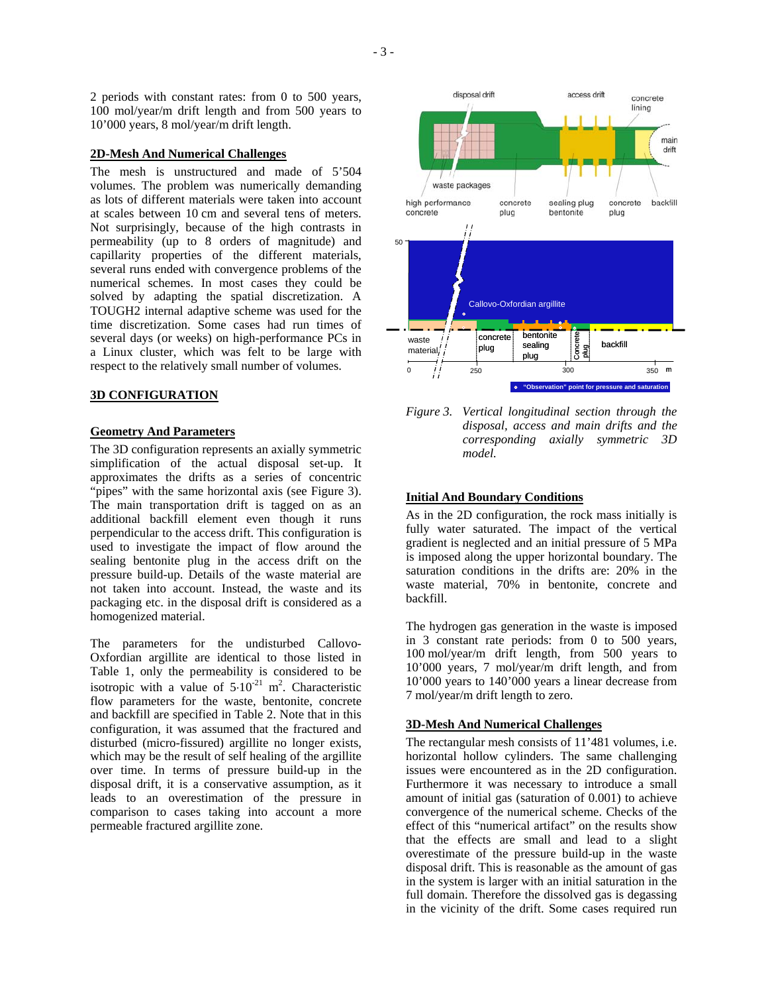2 periods with constant rates: from 0 to 500 years, 100 mol/year/m drift length and from 500 years to 10'000 years, 8 mol/year/m drift length.

## **2D-Mesh And Numerical Challenges**

The mesh is unstructured and made of 5'504 volumes. The problem was numerically demanding as lots of different materials were taken into account at scales between 10 cm and several tens of meters. Not surprisingly, because of the high contrasts in permeability (up to 8 orders of magnitude) and capillarity properties of the different materials, several runs ended with convergence problems of the numerical schemes. In most cases they could be solved by adapting the spatial discretization. A TOUGH2 internal adaptive scheme was used for the time discretization. Some cases had run times of several days (or weeks) on high-performance PCs in a Linux cluster, which was felt to be large with respect to the relatively small number of volumes.

## **3D CONFIGURATION**

### **Geometry And Parameters**

The 3D configuration represents an axially symmetric simplification of the actual disposal set-up. It approximates the drifts as a series of concentric "pipes" with the same horizontal axis (see Figure 3). The main transportation drift is tagged on as an additional backfill element even though it runs perpendicular to the access drift. This configuration is used to investigate the impact of flow around the sealing bentonite plug in the access drift on the pressure build-up. Details of the waste material are not taken into account. Instead, the waste and its packaging etc. in the disposal drift is considered as a homogenized material.

The parameters for the undisturbed Callovo-Oxfordian argillite are identical to those listed in Table 1, only the permeability is considered to be isotropic with a value of  $5 \cdot 10^{-21}$  m<sup>2</sup>. Characteristic flow parameters for the waste, bentonite, concrete and backfill are specified in Table 2. Note that in this configuration, it was assumed that the fractured and disturbed (micro-fissured) argillite no longer exists, which may be the result of self healing of the argillite over time. In terms of pressure build-up in the disposal drift, it is a conservative assumption, as it leads to an overestimation of the pressure in comparison to cases taking into account a more permeable fractured argillite zone.



*Figure 3. Vertical longitudinal section through the disposal, access and main drifts and the corresponding axially symmetric 3D model.* 

## **Initial And Boundary Conditions**

As in the 2D configuration, the rock mass initially is fully water saturated. The impact of the vertical gradient is neglected and an initial pressure of 5 MPa is imposed along the upper horizontal boundary. The saturation conditions in the drifts are: 20% in the waste material, 70% in bentonite, concrete and backfill.

The hydrogen gas generation in the waste is imposed in 3 constant rate periods: from 0 to 500 years, 100 mol/year/m drift length, from 500 years to 10'000 years, 7 mol/year/m drift length, and from 10'000 years to 140'000 years a linear decrease from 7 mol/year/m drift length to zero.

#### **3D-Mesh And Numerical Challenges**

The rectangular mesh consists of 11'481 volumes, i.e. horizontal hollow cylinders. The same challenging issues were encountered as in the 2D configuration. Furthermore it was necessary to introduce a small amount of initial gas (saturation of 0.001) to achieve convergence of the numerical scheme. Checks of the effect of this "numerical artifact" on the results show that the effects are small and lead to a slight overestimate of the pressure build-up in the waste disposal drift. This is reasonable as the amount of gas in the system is larger with an initial saturation in the full domain. Therefore the dissolved gas is degassing in the vicinity of the drift. Some cases required run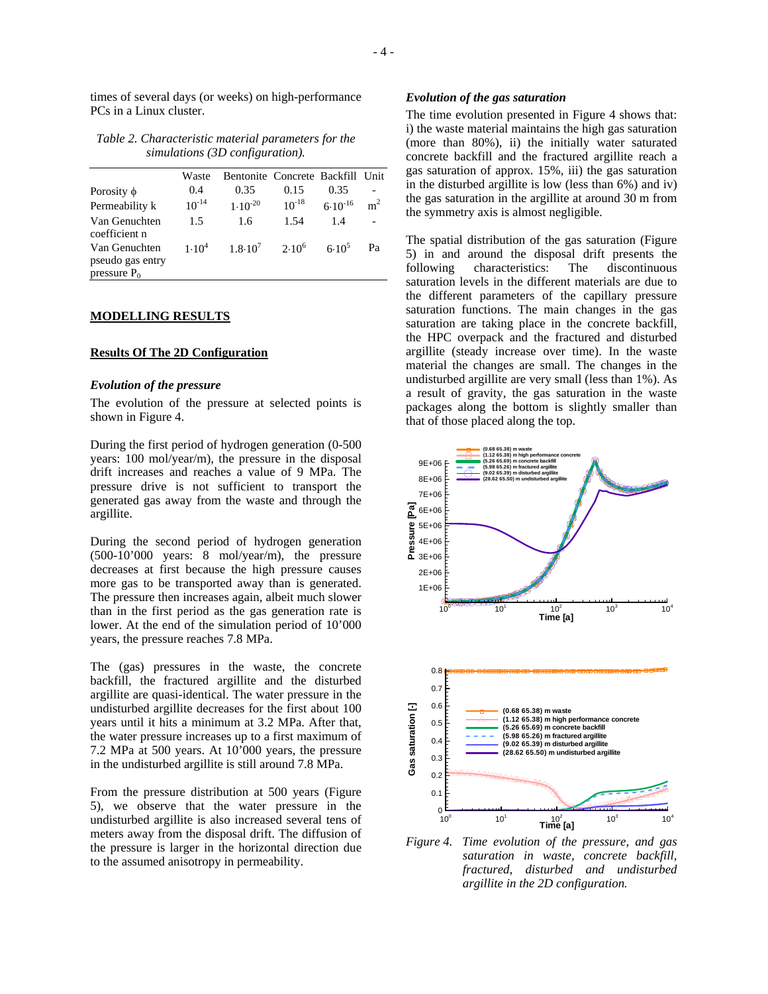times of several days (or weeks) on high-performance PCs in a Linux cluster.

*Table 2. Characteristic material parameters for the simulations (3D configuration).* 

|                                                     | Waste      | Bentonite Concrete Backfill Unit |            |              |                |
|-----------------------------------------------------|------------|----------------------------------|------------|--------------|----------------|
| Porosity $\phi$                                     | 0.4        | 0.35                             | 0.15       | 0.35         |                |
| Permeability k                                      | $10^{-14}$ | $1.10^{-20}$                     | $10^{-18}$ | $6.10^{-16}$ | m <sup>2</sup> |
| Van Genuchten<br>coefficient n                      | 1.5        | 1.6                              | 1.54       | 1.4          |                |
| Van Genuchten<br>pseudo gas entry<br>pressure $P_0$ | $1.10^{4}$ | $1.8 \cdot 10^{7}$ $2.10^{6}$    |            | $6.10^{5}$   | Pa             |

#### **MODELLING RESULTS**

## **Results Of The 2D Configuration**

## *Evolution of the pressure*

The evolution of the pressure at selected points is shown in Figure 4.

During the first period of hydrogen generation (0-500 years: 100 mol/year/m), the pressure in the disposal drift increases and reaches a value of 9 MPa. The pressure drive is not sufficient to transport the generated gas away from the waste and through the argillite.

During the second period of hydrogen generation (500-10'000 years: 8 mol/year/m), the pressure decreases at first because the high pressure causes more gas to be transported away than is generated. The pressure then increases again, albeit much slower than in the first period as the gas generation rate is lower. At the end of the simulation period of 10'000 years, the pressure reaches 7.8 MPa.

The (gas) pressures in the waste, the concrete backfill, the fractured argillite and the disturbed argillite are quasi-identical. The water pressure in the undisturbed argillite decreases for the first about 100 years until it hits a minimum at 3.2 MPa. After that, the water pressure increases up to a first maximum of 7.2 MPa at 500 years. At 10'000 years, the pressure in the undisturbed argillite is still around 7.8 MPa.

From the pressure distribution at 500 years (Figure 5), we observe that the water pressure in the undisturbed argillite is also increased several tens of meters away from the disposal drift. The diffusion of the pressure is larger in the horizontal direction due to the assumed anisotropy in permeability.

#### *Evolution of the gas saturation*

The time evolution presented in Figure 4 shows that: i) the waste material maintains the high gas saturation (more than 80%), ii) the initially water saturated concrete backfill and the fractured argillite reach a gas saturation of approx. 15%, iii) the gas saturation in the disturbed argillite is low (less than 6%) and iv) the gas saturation in the argillite at around 30 m from the symmetry axis is almost negligible.

The spatial distribution of the gas saturation (Figure 5) in and around the disposal drift presents the following characteristics: The discontinuous saturation levels in the different materials are due to the different parameters of the capillary pressure saturation functions. The main changes in the gas saturation are taking place in the concrete backfill, the HPC overpack and the fractured and disturbed argillite (steady increase over time). In the waste material the changes are small. The changes in the undisturbed argillite are very small (less than 1%). As a result of gravity, the gas saturation in the waste packages along the bottom is slightly smaller than that of those placed along the top.



*Figure 4. Time evolution of the pressure, and gas saturation in waste, concrete backfill, fractured, disturbed and undisturbed argillite in the 2D configuration.*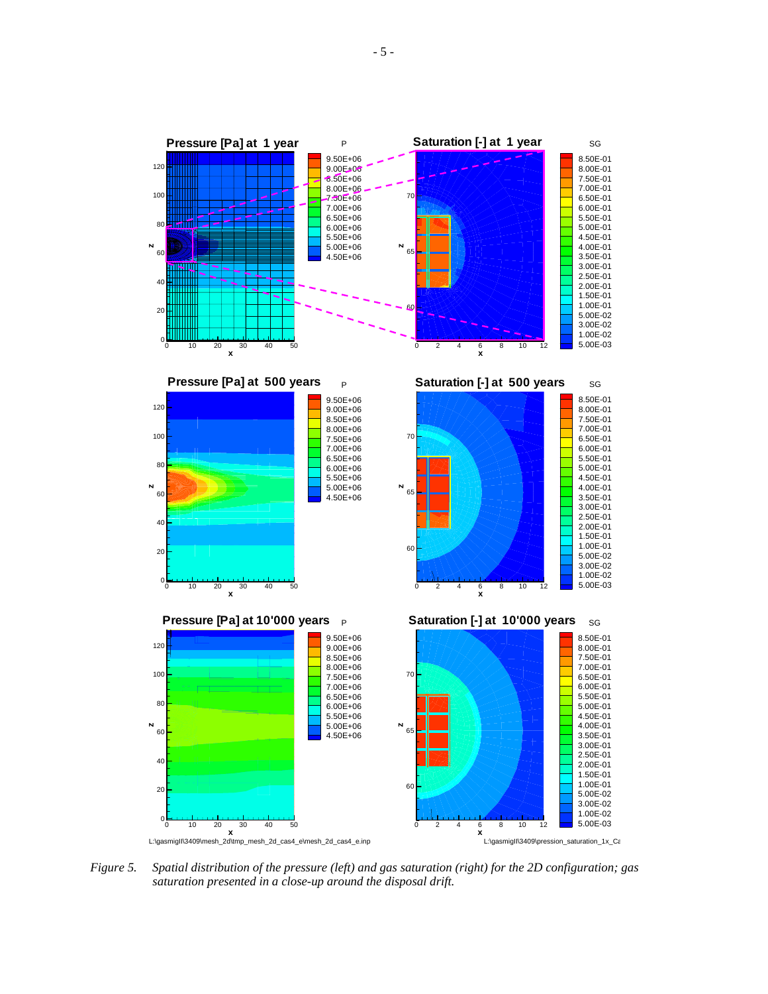

L:\gasmigII\3409\mesh\_2d\tmp\_mesh\_2d\_cas4\_e\mesh\_2d\_cas4\_e.inp

L:\gasmigII\3409\pression\_saturation\_1x\_Ca

*Figure 5. Spatial distribution of the pressure (left) and gas saturation (right) for the 2D configuration; gas saturation presented in a close-up around the disposal drift.*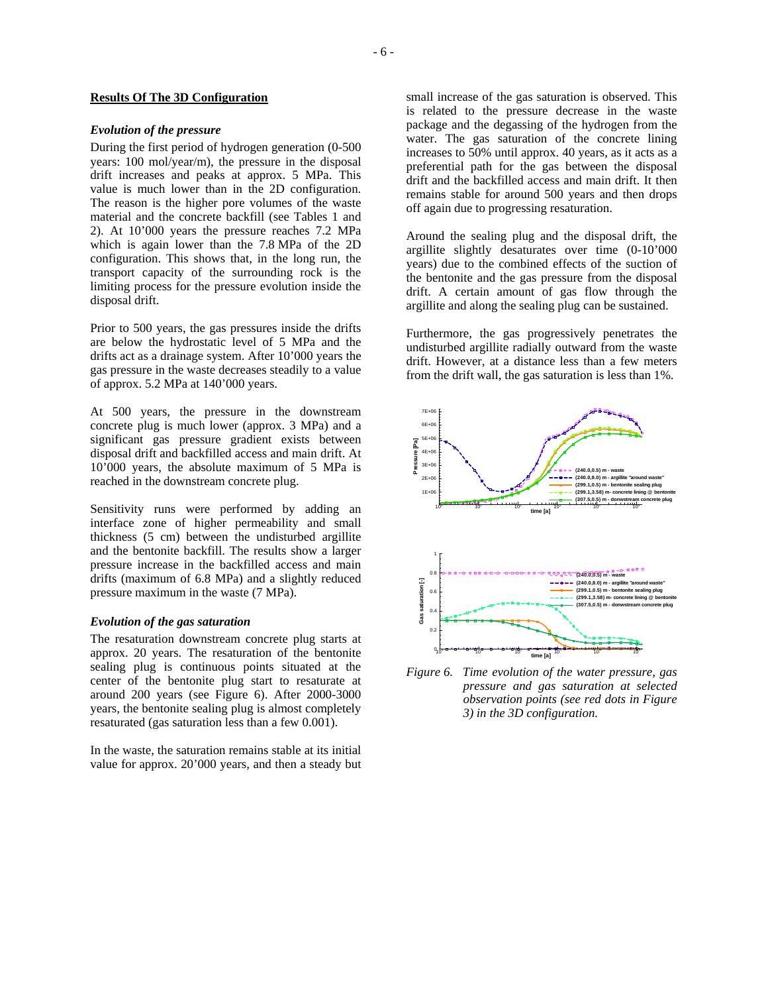## **Results Of The 3D Configuration**

## *Evolution of the pressure*

During the first period of hydrogen generation (0-500 years: 100 mol/year/m), the pressure in the disposal drift increases and peaks at approx. 5 MPa. This value is much lower than in the 2D configuration. The reason is the higher pore volumes of the waste material and the concrete backfill (see Tables 1 and 2). At 10'000 years the pressure reaches 7.2 MPa which is again lower than the 7.8 MPa of the 2D configuration. This shows that, in the long run, the transport capacity of the surrounding rock is the limiting process for the pressure evolution inside the disposal drift.

Prior to 500 years, the gas pressures inside the drifts are below the hydrostatic level of 5 MPa and the drifts act as a drainage system. After 10'000 years the gas pressure in the waste decreases steadily to a value of approx. 5.2 MPa at 140'000 years.

At 500 years, the pressure in the downstream concrete plug is much lower (approx. 3 MPa) and a significant gas pressure gradient exists between disposal drift and backfilled access and main drift. At 10'000 years, the absolute maximum of 5 MPa is reached in the downstream concrete plug.

Sensitivity runs were performed by adding an interface zone of higher permeability and small thickness (5 cm) between the undisturbed argillite and the bentonite backfill. The results show a larger pressure increase in the backfilled access and main drifts (maximum of 6.8 MPa) and a slightly reduced pressure maximum in the waste (7 MPa).

### *Evolution of the gas saturation*

The resaturation downstream concrete plug starts at approx. 20 years. The resaturation of the bentonite sealing plug is continuous points situated at the center of the bentonite plug start to resaturate at around 200 years (see Figure 6). After 2000-3000 years, the bentonite sealing plug is almost completely resaturated (gas saturation less than a few 0.001).

In the waste, the saturation remains stable at its initial value for approx. 20'000 years, and then a steady but small increase of the gas saturation is observed. This is related to the pressure decrease in the waste package and the degassing of the hydrogen from the water. The gas saturation of the concrete lining increases to 50% until approx. 40 years, as it acts as a preferential path for the gas between the disposal drift and the backfilled access and main drift. It then remains stable for around 500 years and then drops off again due to progressing resaturation.

Around the sealing plug and the disposal drift, the argillite slightly desaturates over time (0-10'000 years) due to the combined effects of the suction of the bentonite and the gas pressure from the disposal drift. A certain amount of gas flow through the argillite and along the sealing plug can be sustained.

Furthermore, the gas progressively penetrates the undisturbed argillite radially outward from the waste drift. However, at a distance less than a few meters from the drift wall, the gas saturation is less than 1%.



*Figure 6. Time evolution of the water pressure, gas pressure and gas saturation at selected observation points (see red dots in Figure 3) in the 3D configuration.*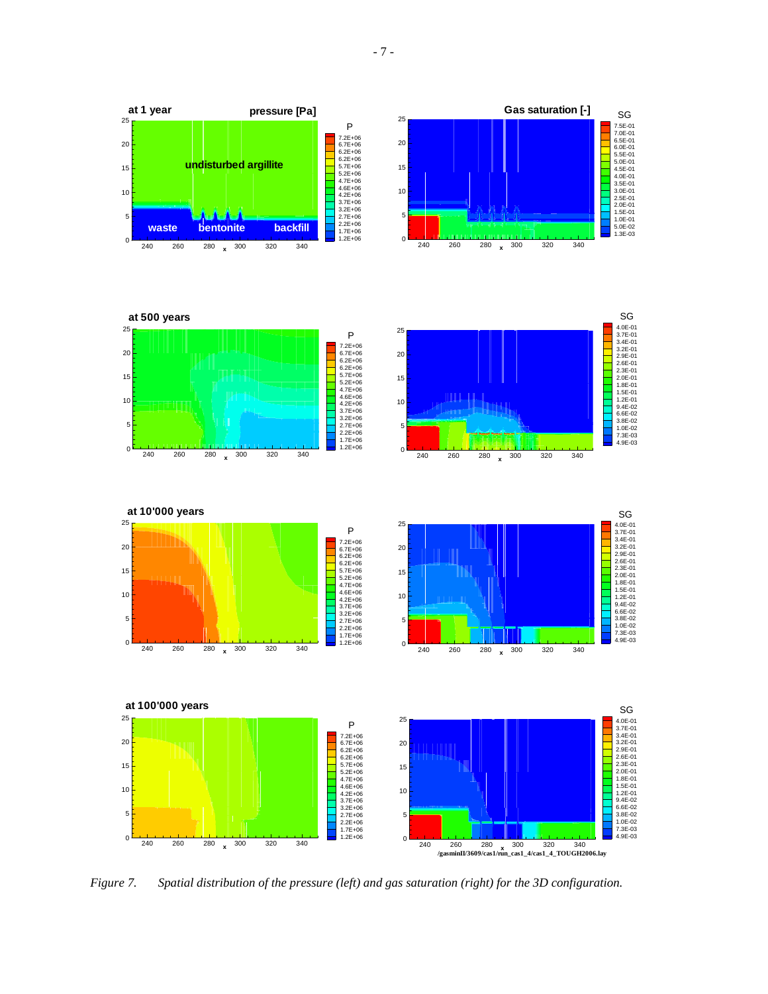P

**pressure [Pa]**

25

**at 1 year**

**Gas saturation [-]** SG



*Figure 7. Spatial distribution of the pressure (left) and gas saturation (right) for the 3D configuration.*